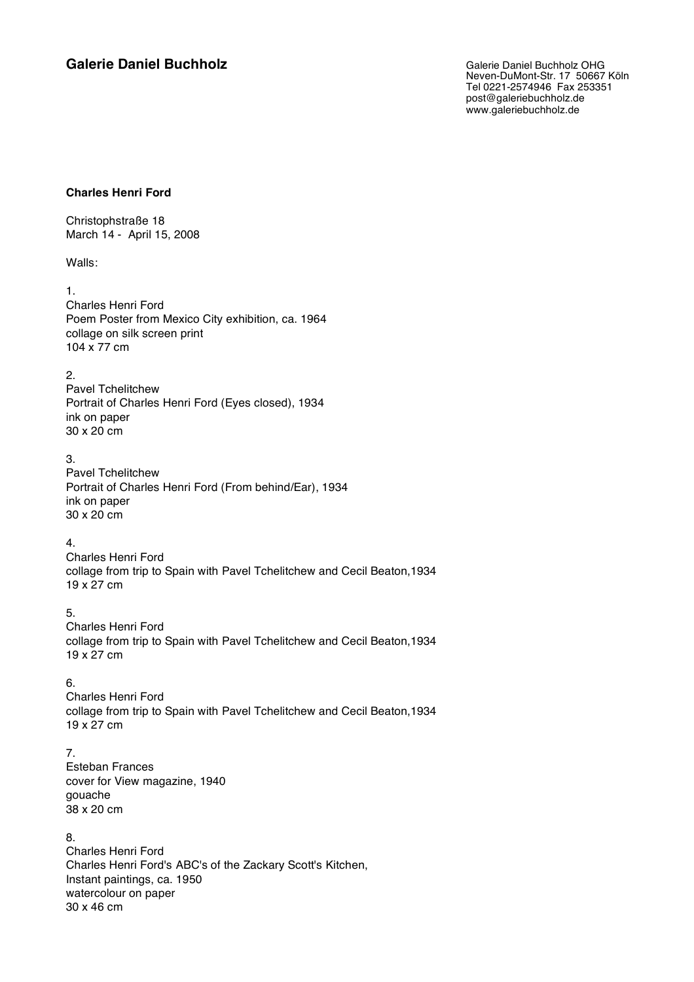# **Galerie Daniel Buchholz** Galerie Daniel Buchholz OHG

Neven-DuMont-Str. 17 50667 Köln Tel 0221-2574946 Fax 253351 post@galeriebuchholz.de www.galeriebuchholz.de

#### **Charles Henri Ford**

Christophstraße 18 March 14 - April 15, 2008

Walls:

1.

Charles Henri Ford Poem Poster from Mexico City exhibition, ca. 1964 collage on silk screen print 104 x 77 cm

#### 2.

Pavel Tchelitchew Portrait of Charles Henri Ford (Eyes closed), 1934 ink on paper 30 x 20 cm

3.

Pavel Tchelitchew Portrait of Charles Henri Ford (From behind/Ear), 1934 ink on paper 30 x 20 cm

### 4.

Charles Henri Ford collage from trip to Spain with Pavel Tchelitchew and Cecil Beaton,1934 19 x 27 cm

## 5.

Charles Henri Ford collage from trip to Spain with Pavel Tchelitchew and Cecil Beaton,1934 19 x 27 cm

## 6.

Charles Henri Ford collage from trip to Spain with Pavel Tchelitchew and Cecil Beaton,1934 19 x 27 cm

### 7.

Esteban Frances cover for View magazine, 1940 gouache 38 x 20 cm

# 8.

Charles Henri Ford Charles Henri Ford's ABC's of the Zackary Scott's Kitchen, Instant paintings, ca. 1950 watercolour on paper 30 x 46 cm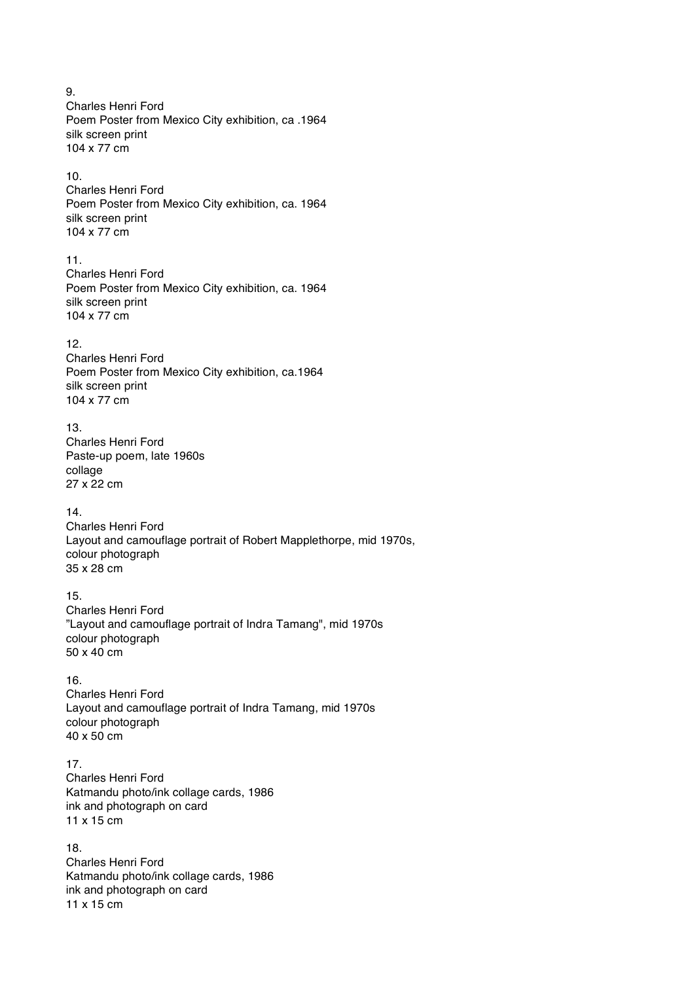9. Charles Henri Ford Poem Poster from Mexico City exhibition, ca .1964 silk screen print 104 x 77 cm

#### 10.

Charles Henri Ford Poem Poster from Mexico City exhibition, ca. 1964 silk screen print 104 x 77 cm

#### 11.

Charles Henri Ford Poem Poster from Mexico City exhibition, ca. 1964 silk screen print 104 x 77 cm

#### 12.

Charles Henri Ford Poem Poster from Mexico City exhibition, ca.1964 silk screen print 104 x 77 cm

## 13.

Charles Henri Ford Paste-up poem, late 1960s collage 27 x 22 cm

### 14.

Charles Henri Ford Layout and camouflage portrait of Robert Mapplethorpe, mid 1970s, colour photograph 35 x 28 cm

### 15.

Charles Henri Ford "Layout and camouflage portrait of Indra Tamang", mid 1970s colour photograph 50 x 40 cm

### 16.

Charles Henri Ford Layout and camouflage portrait of Indra Tamang, mid 1970s colour photograph 40 x 50 cm

## 17.

Charles Henri Ford Katmandu photo/ink collage cards, 1986 ink and photograph on card 11 x 15 cm

# 18.

Charles Henri Ford Katmandu photo/ink collage cards, 1986 ink and photograph on card 11 x 15 cm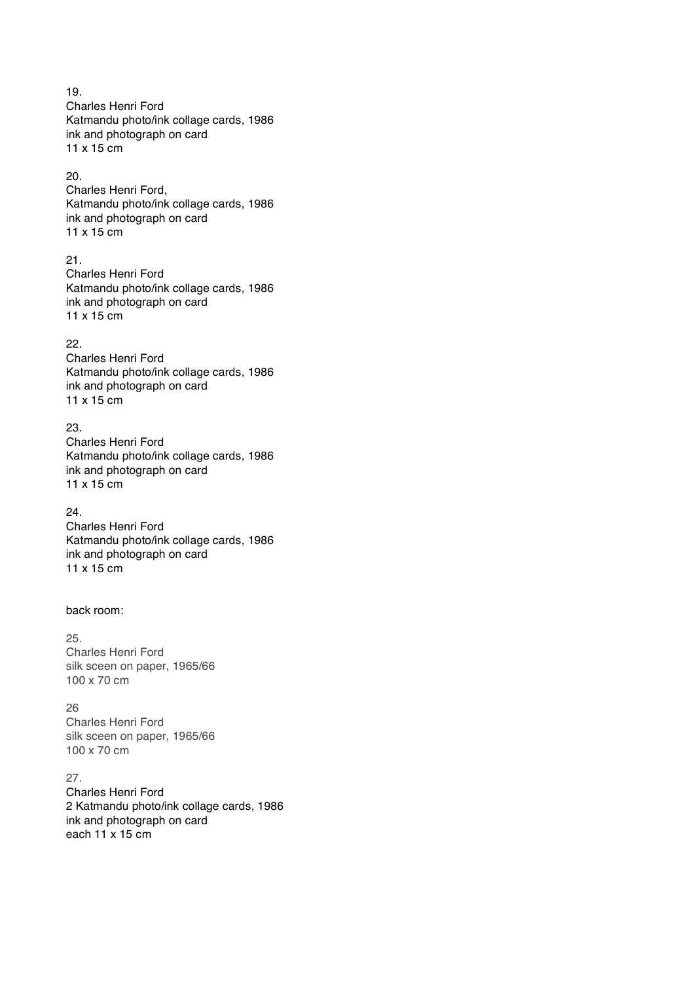19. Charles Henri Ford Katmandu photo/ink collage cards, 1986 ink and photograph on card 11 x 15 cm

#### 20.

Charles Henri Ford, Katmandu photo/ink collage cards, 1986 ink and photograph on card 11 x 15 cm

#### 21.

Charles Henri Ford Katmandu photo/ink collage cards, 1986 ink and photograph on card 11 x 15 cm

#### 22.

Charles Henri Ford Katmandu photo/ink collage cards, 1986 ink and photograph on card 11 x 15 cm

## 23.

Charles Henri Ford Katmandu photo/ink collage cards, 1986 ink and photograph on card 11 x 15 cm

### 24.

Charles Henri Ford Katmandu photo/ink collage cards, 1986 ink and photograph on card 11 x 15 cm

## back room:

25. Charles Henri Ford silk sceen on paper, 1965/66 100 x 70 cm

#### 26

Charles Henri Ford silk sceen on paper, 1965/66 100 x 70 cm

# 27.

Charles Henri Ford 2 Katmandu photo/ink collage cards, 1986 ink and photograph on card each 11 x 15 cm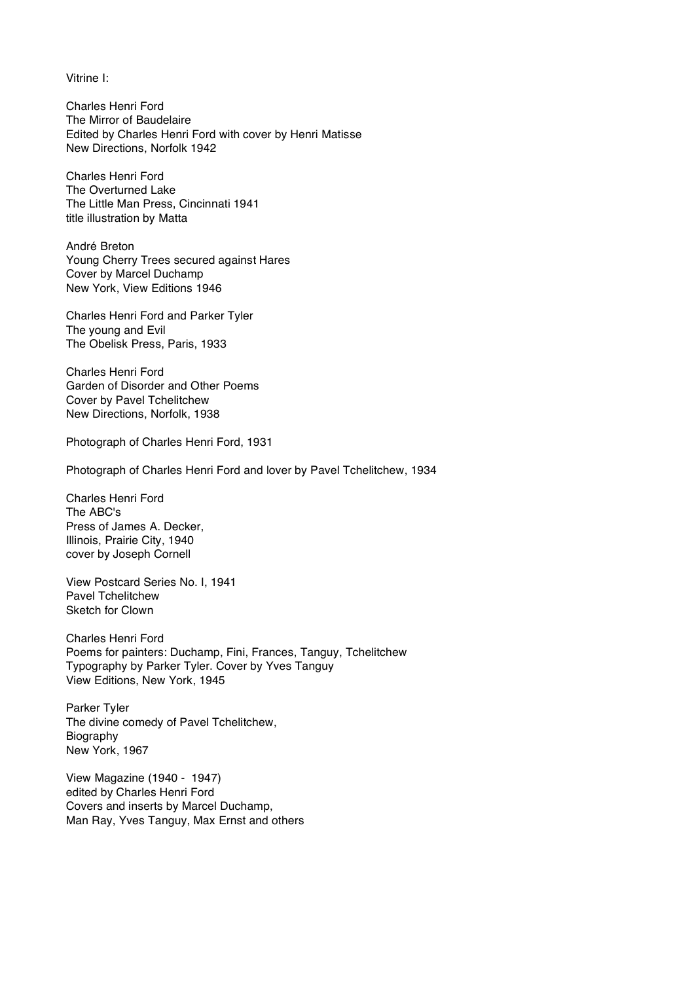Vitrine I:

Charles Henri Ford The Mirror of Baudelaire Edited by Charles Henri Ford with cover by Henri Matisse New Directions, Norfolk 1942

Charles Henri Ford The Overturned Lake The Little Man Press, Cincinnati 1941 title illustration by Matta

André Breton Young Cherry Trees secured against Hares Cover by Marcel Duchamp New York, View Editions 1946

Charles Henri Ford and Parker Tyler The young and Evil The Obelisk Press, Paris, 1933

Charles Henri Ford Garden of Disorder and Other Poems Cover by Pavel Tchelitchew New Directions, Norfolk, 1938

Photograph of Charles Henri Ford, 1931

Photograph of Charles Henri Ford and lover by Pavel Tchelitchew, 1934

Charles Henri Ford The ABC's Press of James A. Decker, Illinois, Prairie City, 1940 cover by Joseph Cornell

View Postcard Series No. I, 1941 Pavel Tchelitchew Sketch for Clown

Charles Henri Ford Poems for painters: Duchamp, Fini, Frances, Tanguy, Tchelitchew Typography by Parker Tyler. Cover by Yves Tanguy View Editions, New York, 1945

Parker Tyler The divine comedy of Pavel Tchelitchew, Biography New York, 1967

View Magazine (1940 - 1947) edited by Charles Henri Ford Covers and inserts by Marcel Duchamp, Man Ray, Yves Tanguy, Max Ernst and others